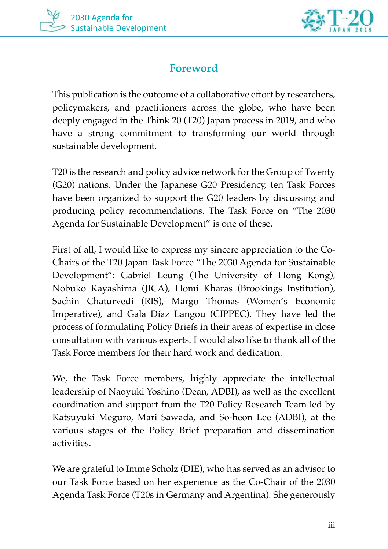



## **Foreword**

This publication is the outcome of a collaborative effort by researchers, policymakers, and practitioners across the globe, who have been deeply engaged in the Think 20 (T20) Japan process in 2019, and who have a strong commitment to transforming our world through sustainable development.

T20 is the research and policy advice network for the Group of Twenty (G20) nations. Under the Japanese G20 Presidency, ten Task Forces have been organized to support the G20 leaders by discussing and producing policy recommendations. The Task Force on "The 2030 Agenda for Sustainable Development" is one of these.

First of all, I would like to express my sincere appreciation to the Co-Chairs of the T20 Japan Task Force "The 2030 Agenda for Sustainable Development": Gabriel Leung (The University of Hong Kong), Nobuko Kayashima (JICA), Homi Kharas (Brookings Institution), Sachin Chaturvedi (RIS), Margo Thomas (Women's Economic Imperative), and Gala Díaz Langou (CIPPEC). They have led the process of formulating Policy Briefs in their areas of expertise in close consultation with various experts. I would also like to thank all of the Task Force members for their hard work and dedication.

We, the Task Force members, highly appreciate the intellectual leadership of Naoyuki Yoshino (Dean, ADBI), as well as the excellent coordination and support from the T20 Policy Research Team led by Katsuyuki Meguro, Mari Sawada, and So-heon Lee (ADBI), at the various stages of the Policy Brief preparation and dissemination activities.

We are grateful to Imme Scholz (DIE), who has served as an advisor to our Task Force based on her experience as the Co-Chair of the 2030 Agenda Task Force (T20s in Germany and Argentina). She generously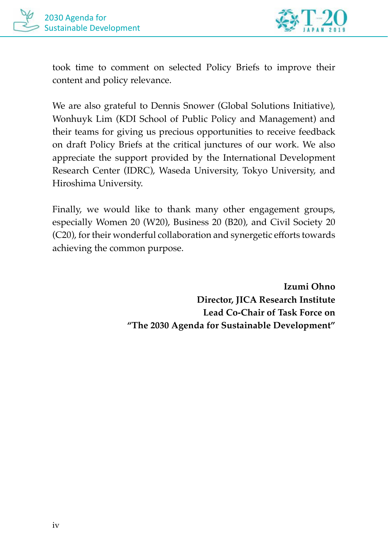



took time to comment on selected Policy Briefs to improve their content and policy relevance.

We are also grateful to Dennis Snower (Global Solutions Initiative), Wonhuyk Lim (KDI School of Public Policy and Management) and their teams for giving us precious opportunities to receive feedback on draft Policy Briefs at the critical junctures of our work. We also appreciate the support provided by the International Development Research Center (IDRC), Waseda University, Tokyo University, and Hiroshima University.

Finally, we would like to thank many other engagement groups, especially Women 20 (W20), Business 20 (B20), and Civil Society 20 (C20), for their wonderful collaboration and synergetic efforts towards achieving the common purpose.

> **Izumi Ohno Director, JICA Research Institute Lead Co-Chair of Task Force on "The 2030 Agenda for Sustainable Development"**